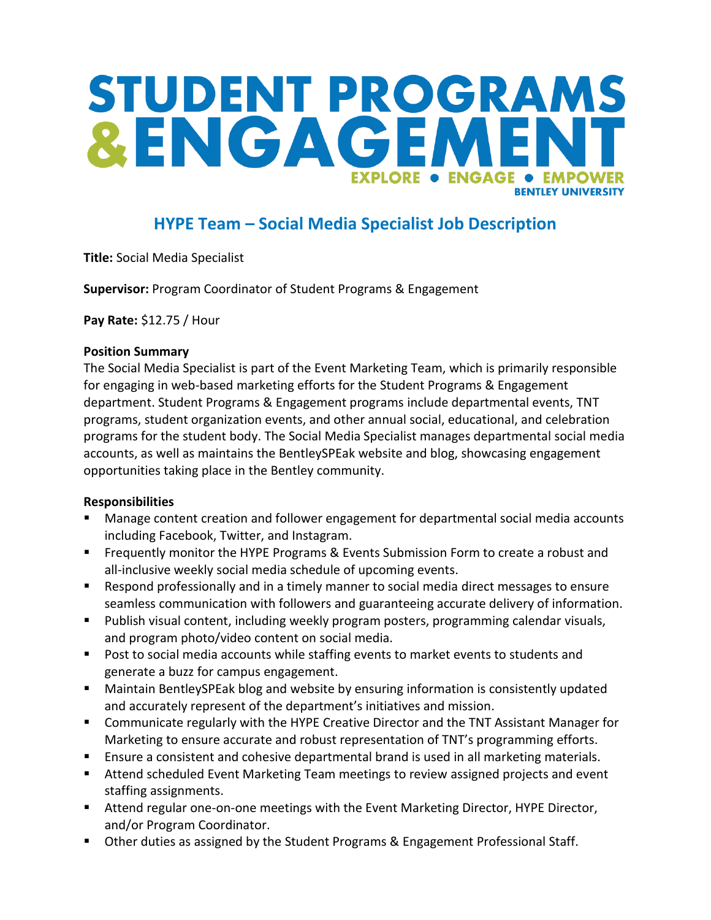# STUDENT PROGRAMS &ENGAGEM **EXPLORE . ENGAGE RENTI EY UNIVERSITY**

### **HYPE Team – Social Media Specialist Job Description**

**Title:** Social Media Specialist

**Supervisor:** Program Coordinator of Student Programs & Engagement

**Pay Rate:** \$12.75 / Hour

#### **Position Summary**

The Social Media Specialist is part of the Event Marketing Team, which is primarily responsible for engaging in web-based marketing efforts for the Student Programs & Engagement department. Student Programs & Engagement programs include departmental events, TNT programs, student organization events, and other annual social, educational, and celebration programs for the student body. The Social Media Specialist manages departmental social media accounts, as well as maintains the BentleySPEak website and blog, showcasing engagement opportunities taking place in the Bentley community.

### **Responsibilities**

- Manage content creation and follower engagement for departmental social media accounts including Facebook, Twitter, and Instagram.
- **FIF** Frequently monitor the HYPE Programs & Events Submission Form to create a robust and all-inclusive weekly social media schedule of upcoming events.
- Respond professionally and in a timely manner to social media direct messages to ensure seamless communication with followers and guaranteeing accurate delivery of information.
- Publish visual content, including weekly program posters, programming calendar visuals, and program photo/video content on social media.
- **Post to social media accounts while staffing events to market events to students and** generate a buzz for campus engagement.
- Maintain BentleySPEak blog and website by ensuring information is consistently updated and accurately represent of the department's initiatives and mission.
- Communicate regularly with the HYPE Creative Director and the TNT Assistant Manager for Marketing to ensure accurate and robust representation of TNT's programming efforts.
- Ensure a consistent and cohesive departmental brand is used in all marketing materials.
- **Attend scheduled Event Marketing Team meetings to review assigned projects and event** staffing assignments.
- Attend regular one-on-one meetings with the Event Marketing Director, HYPE Director, and/or Program Coordinator.
- **D** Other duties as assigned by the Student Programs & Engagement Professional Staff.